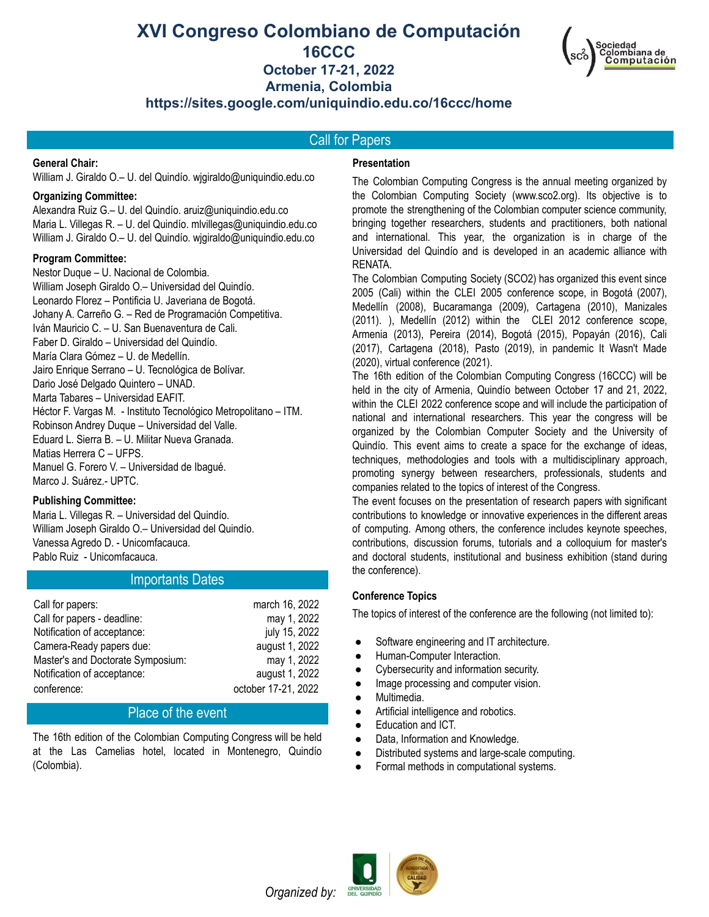# **XVI Congreso Colombiano de Computación 16CCC October 17-21, 2022 Armenia, Colombia https://sites.google.com/uniquindio.edu.co/16ccc/home**



Call for Papers

# **General Chair:**

William J. Giraldo O.– U. del Quindío. wjgiraldo@uniquindio.edu.co

#### **Organizing Committee:**

Alexandra Ruiz G.– U. del Quindío. aruiz@uniquindio.edu.co Maria L. Villegas R. – U. del Quindío. mlvillegas@uniquindio.edu.co William J. Giraldo O.– U. del Quindío. wjgiraldo@uniquindio.edu.co

#### **Program Committee:**

Nestor Duque – U. Nacional de Colombia. William Joseph Giraldo O.– Universidad del Quindío. Leonardo Florez – Pontificia U. Javeriana de Bogotá. Johany A. Carreño G. – Red de Programación Competitiva. Iván Mauricio C. – U. San Buenaventura de Cali. Faber D. Giraldo – Universidad del Quindío. María Clara Gómez – U. de Medellín. Jairo Enrique Serrano – U. Tecnológica de Bolívar. Dario José Delgado Quintero – UNAD. Marta Tabares – Universidad EAFIT. Héctor F. Vargas M. - Instituto Tecnológico Metropolitano – ITM. Robinson Andrey Duque – Universidad del Valle. Eduard L. Sierra B. – U. Militar Nueva Granada. Matias Herrera C – UFPS. Manuel G. Forero V. – Universidad de Ibagué. Marco J. Suárez.- UPTC.

## **Publishing Committee:**

Maria L. Villegas R. – Universidad del Quindío. William Joseph Giraldo O.– Universidad del Quindío. Vanessa Agredo D. - Unicomfacauca. Pablo Ruiz - Unicomfacauca.

## Importants Dates

| Call for papers:                  | march 16, 2022      |
|-----------------------------------|---------------------|
| Call for papers - deadline:       | may 1, 2022         |
| Notification of acceptance:       | july 15, 2022       |
| Camera-Ready papers due:          | august 1, 2022      |
| Master's and Doctorate Symposium: | may 1, 2022         |
| Notification of acceptance:       | august 1, 2022      |
| conference:                       | october 17-21, 2022 |

## Place of the event

The 16th edition of the Colombian Computing Congress will be held at the Las Camelias hotel, located in Montenegro, Quindío (Colombia).

## **Presentation**

The Colombian Computing Congress is the annual meeting organized by the Colombian Computing Society (www.sco2.org). Its objective is to promote the strengthening of the Colombian computer science community, bringing together researchers, students and practitioners, both national and international. This year, the organization is in charge of the Universidad del Quindío and is developed in an academic alliance with RENATA.

The Colombian Computing Society (SCO2) has organized this event since 2005 (Cali) within the CLEI 2005 conference scope, in Bogotá (2007), Medellín (2008), Bucaramanga (2009), Cartagena (2010), Manizales (2011). ), Medellín (2012) within the CLEI 2012 conference scope, Armenia (2013), Pereira (2014), Bogotá (2015), Popayán (2016), Cali (2017), Cartagena (2018), Pasto (2019), in pandemic It Wasn't Made (2020), virtual conference (2021).

The 16th edition of the Colombian Computing Congress (16CCC) will be held in the city of Armenia, Quindío between October 17 and 21, 2022, within the CLEI 2022 conference scope and will include the participation of national and international researchers. This year the congress will be organized by the Colombian Computer Society and the University of Quindío. This event aims to create a space for the exchange of ideas, techniques, methodologies and tools with a multidisciplinary approach, promoting synergy between researchers, professionals, students and companies related to the topics of interest of the Congress.

The event focuses on the presentation of research papers with significant contributions to knowledge or innovative experiences in the different areas of computing. Among others, the conference includes keynote speeches, contributions, discussion forums, tutorials and a colloquium for master's and doctoral students, institutional and business exhibition (stand during the conference).

## **Conference Topics**

The topics of interest of the conference are the following (not limited to):

- Software engineering and IT architecture.
- Human-Computer Interaction.
- Cybersecurity and information security.
- Image processing and computer vision.
- Multimedia.
- Artificial intelligence and robotics.
- Education and ICT.
- Data, Information and Knowledge.
- Distributed systems and large-scale computing.
- Formal methods in computational systems.



*Organized by:*